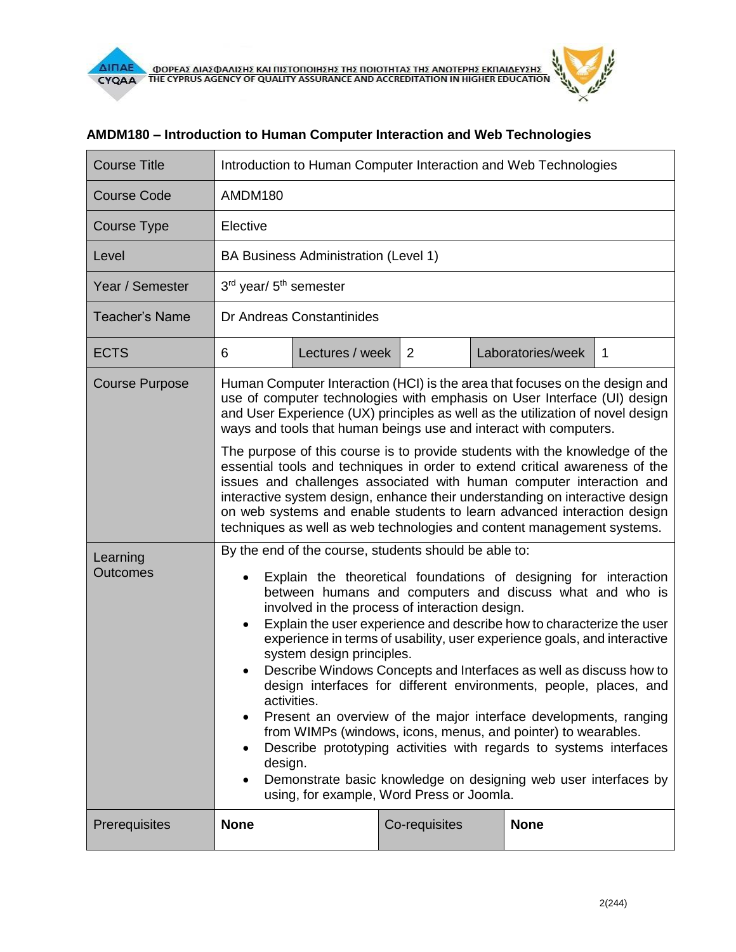| <b>Course Title</b>         | Introduction to Human Computer Interaction and Web Technologies                                                                                                                                                                                                                                                                                                                                                                                                                                                                                                                                                                                                                                                                                                                                                                                                                                                                                               |                 |               |  |                   |             |  |
|-----------------------------|---------------------------------------------------------------------------------------------------------------------------------------------------------------------------------------------------------------------------------------------------------------------------------------------------------------------------------------------------------------------------------------------------------------------------------------------------------------------------------------------------------------------------------------------------------------------------------------------------------------------------------------------------------------------------------------------------------------------------------------------------------------------------------------------------------------------------------------------------------------------------------------------------------------------------------------------------------------|-----------------|---------------|--|-------------------|-------------|--|
| <b>Course Code</b>          | AMDM180                                                                                                                                                                                                                                                                                                                                                                                                                                                                                                                                                                                                                                                                                                                                                                                                                                                                                                                                                       |                 |               |  |                   |             |  |
| Course Type                 | Elective                                                                                                                                                                                                                                                                                                                                                                                                                                                                                                                                                                                                                                                                                                                                                                                                                                                                                                                                                      |                 |               |  |                   |             |  |
| Level                       | BA Business Administration (Level 1)                                                                                                                                                                                                                                                                                                                                                                                                                                                                                                                                                                                                                                                                                                                                                                                                                                                                                                                          |                 |               |  |                   |             |  |
| Year / Semester             | 3rd year/ 5 <sup>th</sup> semester                                                                                                                                                                                                                                                                                                                                                                                                                                                                                                                                                                                                                                                                                                                                                                                                                                                                                                                            |                 |               |  |                   |             |  |
| <b>Teacher's Name</b>       | Dr Andreas Constantinides                                                                                                                                                                                                                                                                                                                                                                                                                                                                                                                                                                                                                                                                                                                                                                                                                                                                                                                                     |                 |               |  |                   |             |  |
| <b>ECTS</b>                 | 6                                                                                                                                                                                                                                                                                                                                                                                                                                                                                                                                                                                                                                                                                                                                                                                                                                                                                                                                                             | Lectures / week | 2             |  | Laboratories/week | $\mathbf 1$ |  |
| <b>Course Purpose</b>       | Human Computer Interaction (HCI) is the area that focuses on the design and<br>use of computer technologies with emphasis on User Interface (UI) design<br>and User Experience (UX) principles as well as the utilization of novel design<br>ways and tools that human beings use and interact with computers.<br>The purpose of this course is to provide students with the knowledge of the<br>essential tools and techniques in order to extend critical awareness of the<br>issues and challenges associated with human computer interaction and<br>interactive system design, enhance their understanding on interactive design<br>on web systems and enable students to learn advanced interaction design<br>techniques as well as web technologies and content management systems.                                                                                                                                                                     |                 |               |  |                   |             |  |
| Learning<br><b>Outcomes</b> | By the end of the course, students should be able to:<br>Explain the theoretical foundations of designing for interaction<br>$\bullet$<br>between humans and computers and discuss what and who is<br>involved in the process of interaction design.<br>Explain the user experience and describe how to characterize the user<br>$\bullet$<br>experience in terms of usability, user experience goals, and interactive<br>system design principles.<br>Describe Windows Concepts and Interfaces as well as discuss how to<br>design interfaces for different environments, people, places, and<br>activities.<br>Present an overview of the major interface developments, ranging<br>٠<br>from WIMPs (windows, icons, menus, and pointer) to wearables.<br>Describe prototyping activities with regards to systems interfaces<br>design.<br>Demonstrate basic knowledge on designing web user interfaces by<br>٠<br>using, for example, Word Press or Joomla. |                 |               |  |                   |             |  |
| Prerequisites               | <b>None</b>                                                                                                                                                                                                                                                                                                                                                                                                                                                                                                                                                                                                                                                                                                                                                                                                                                                                                                                                                   |                 | Co-requisites |  | <b>None</b>       |             |  |

## **AMDM180 – Introduction to Human Computer Interaction and Web Technologies**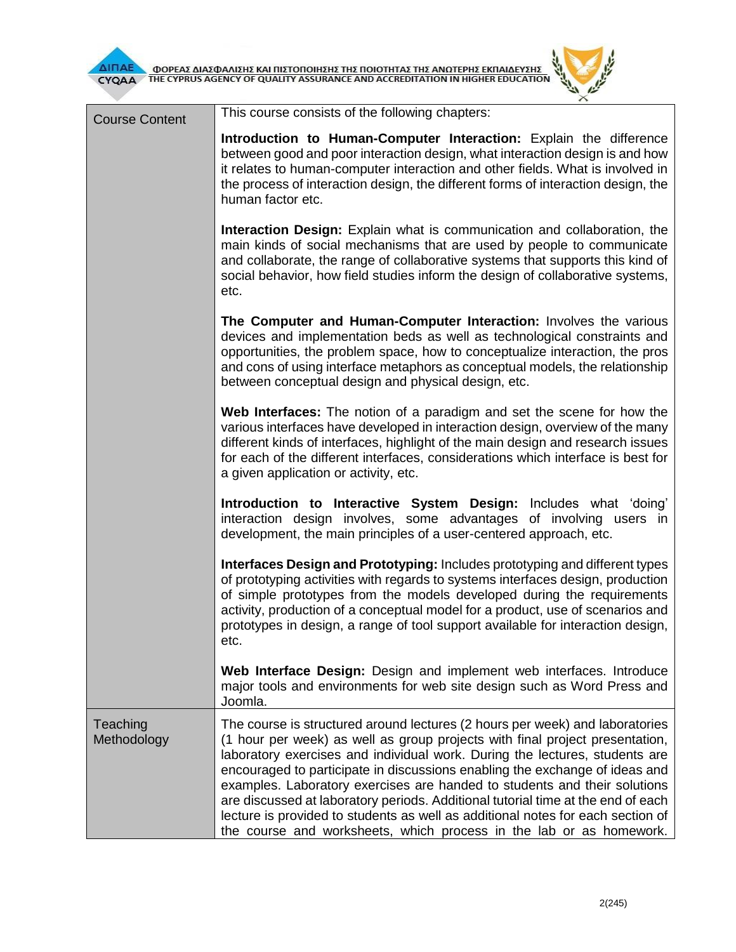

| <b>Course Content</b>   | This course consists of the following chapters:                                                                                                                                                                                                                                                                                                                                                                                                                                                                                                                                                                                                       |  |  |  |  |
|-------------------------|-------------------------------------------------------------------------------------------------------------------------------------------------------------------------------------------------------------------------------------------------------------------------------------------------------------------------------------------------------------------------------------------------------------------------------------------------------------------------------------------------------------------------------------------------------------------------------------------------------------------------------------------------------|--|--|--|--|
|                         | Introduction to Human-Computer Interaction: Explain the difference<br>between good and poor interaction design, what interaction design is and how<br>it relates to human-computer interaction and other fields. What is involved in<br>the process of interaction design, the different forms of interaction design, the<br>human factor etc.                                                                                                                                                                                                                                                                                                        |  |  |  |  |
|                         | <b>Interaction Design:</b> Explain what is communication and collaboration, the<br>main kinds of social mechanisms that are used by people to communicate<br>and collaborate, the range of collaborative systems that supports this kind of<br>social behavior, how field studies inform the design of collaborative systems,                                                                                                                                                                                                                                                                                                                         |  |  |  |  |
|                         | The Computer and Human-Computer Interaction: Involves the various<br>devices and implementation beds as well as technological constraints and<br>opportunities, the problem space, how to conceptualize interaction, the pros<br>and cons of using interface metaphors as conceptual models, the relationship<br>between conceptual design and physical design, etc.                                                                                                                                                                                                                                                                                  |  |  |  |  |
|                         | Web Interfaces: The notion of a paradigm and set the scene for how the<br>various interfaces have developed in interaction design, overview of the many<br>different kinds of interfaces, highlight of the main design and research issues<br>for each of the different interfaces, considerations which interface is best for<br>a given application or activity, etc.                                                                                                                                                                                                                                                                               |  |  |  |  |
|                         | Introduction to Interactive System Design: Includes what 'doing'<br>interaction design involves, some advantages of involving users in<br>development, the main principles of a user-centered approach, etc.                                                                                                                                                                                                                                                                                                                                                                                                                                          |  |  |  |  |
|                         | Interfaces Design and Prototyping: Includes prototyping and different types<br>of prototyping activities with regards to systems interfaces design, production<br>of simple prototypes from the models developed during the requirements<br>activity, production of a conceptual model for a product, use of scenarios and<br>prototypes in design, a range of tool support available for interaction design,<br>etc.                                                                                                                                                                                                                                 |  |  |  |  |
|                         | Web Interface Design: Design and implement web interfaces. Introduce<br>major tools and environments for web site design such as Word Press and<br>Joomla.                                                                                                                                                                                                                                                                                                                                                                                                                                                                                            |  |  |  |  |
| Teaching<br>Methodology | The course is structured around lectures (2 hours per week) and laboratories<br>(1 hour per week) as well as group projects with final project presentation,<br>laboratory exercises and individual work. During the lectures, students are<br>encouraged to participate in discussions enabling the exchange of ideas and<br>examples. Laboratory exercises are handed to students and their solutions<br>are discussed at laboratory periods. Additional tutorial time at the end of each<br>lecture is provided to students as well as additional notes for each section of<br>the course and worksheets, which process in the lab or as homework. |  |  |  |  |